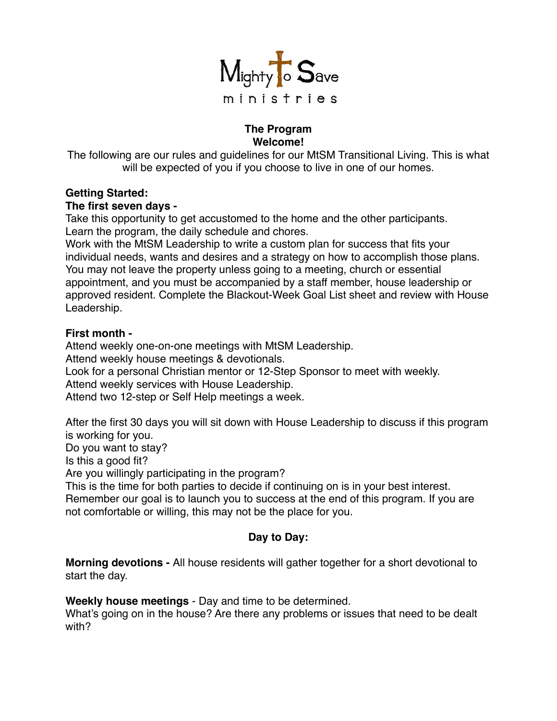

## **The Program Welcome!**

The following are our rules and guidelines for our MtSM Transitional Living. This is what will be expected of you if you choose to live in one of our homes.

## **Getting Started:**

### **The first seven days -**

Take this opportunity to get accustomed to the home and the other participants. Learn the program, the daily schedule and chores.

Work with the MtSM Leadership to write a custom plan for success that fits your individual needs, wants and desires and a strategy on how to accomplish those plans. You may not leave the property unless going to a meeting, church or essential appointment, and you must be accompanied by a staff member, house leadership or approved resident. Complete the Blackout-Week Goal List sheet and review with House Leadership.

## **First month -**

Attend weekly one-on-one meetings with MtSM Leadership.

Attend weekly house meetings & devotionals.

Look for a personal Christian mentor or 12-Step Sponsor to meet with weekly.

Attend weekly services with House Leadership.

Attend two 12-step or Self Help meetings a week.

After the first 30 days you will sit down with House Leadership to discuss if this program is working for you.

Do you want to stay?

Is this a good fit?

Are you willingly participating in the program?

This is the time for both parties to decide if continuing on is in your best interest.

Remember our goal is to launch you to success at the end of this program. If you are not comfortable or willing, this may not be the place for you.

# **Day to Day:**

**Morning devotions -** All house residents will gather together for a short devotional to start the day.

**Weekly house meetings** - Day and time to be determined.

What's going on in the house? Are there any problems or issues that need to be dealt with?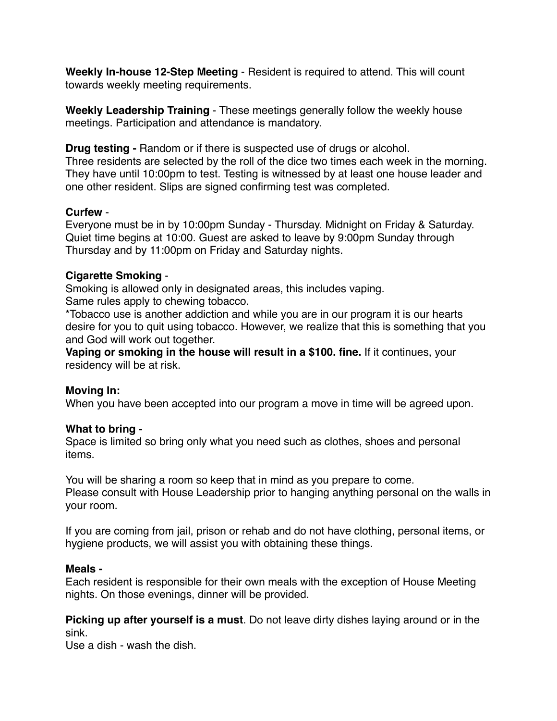**Weekly In-house 12-Step Meeting** - Resident is required to attend. This will count towards weekly meeting requirements.

**Weekly Leadership Training** - These meetings generally follow the weekly house meetings. Participation and attendance is mandatory.

**Drug testing -** Random or if there is suspected use of drugs or alcohol.

Three residents are selected by the roll of the dice two times each week in the morning. They have until 10:00pm to test. Testing is witnessed by at least one house leader and one other resident. Slips are signed confirming test was completed.

## **Curfew** -

Everyone must be in by 10:00pm Sunday - Thursday. Midnight on Friday & Saturday. Quiet time begins at 10:00. Guest are asked to leave by 9:00pm Sunday through Thursday and by 11:00pm on Friday and Saturday nights.

## **Cigarette Smoking** -

Smoking is allowed only in designated areas, this includes vaping. Same rules apply to chewing tobacco.

\*Tobacco use is another addiction and while you are in our program it is our hearts desire for you to quit using tobacco. However, we realize that this is something that you and God will work out together.

**Vaping or smoking in the house will result in a \$100. fine.** If it continues, your residency will be at risk.

## **Moving In:**

When you have been accepted into our program a move in time will be agreed upon.

### **What to bring -**

Space is limited so bring only what you need such as clothes, shoes and personal items.

You will be sharing a room so keep that in mind as you prepare to come. Please consult with House Leadership prior to hanging anything personal on the walls in your room.

If you are coming from jail, prison or rehab and do not have clothing, personal items, or hygiene products, we will assist you with obtaining these things.

### **Meals -**

Each resident is responsible for their own meals with the exception of House Meeting nights. On those evenings, dinner will be provided.

**Picking up after yourself is a must**. Do not leave dirty dishes laying around or in the sink.

Use a dish - wash the dish.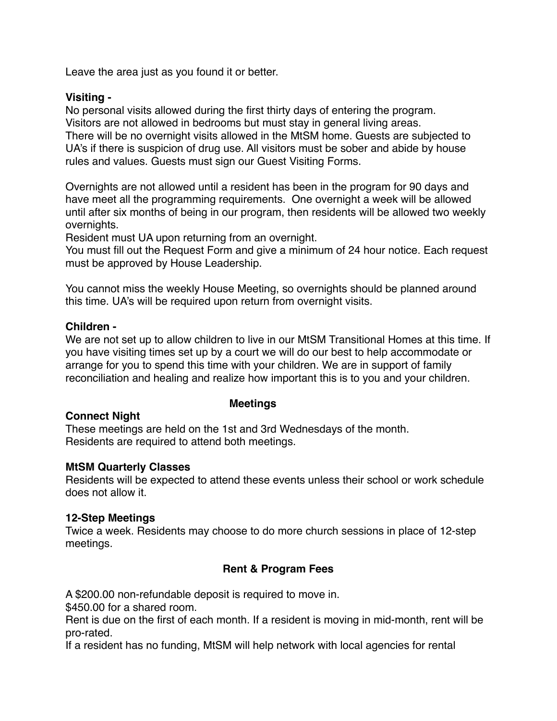Leave the area just as you found it or better.

### **Visiting -**

No personal visits allowed during the first thirty days of entering the program. Visitors are not allowed in bedrooms but must stay in general living areas. There will be no overnight visits allowed in the MtSM home. Guests are subjected to UA's if there is suspicion of drug use. All visitors must be sober and abide by house rules and values. Guests must sign our Guest Visiting Forms.

Overnights are not allowed until a resident has been in the program for 90 days and have meet all the programming requirements. One overnight a week will be allowed until after six months of being in our program, then residents will be allowed two weekly overnights.

Resident must UA upon returning from an overnight.

You must fill out the Request Form and give a minimum of 24 hour notice. Each request must be approved by House Leadership.

You cannot miss the weekly House Meeting, so overnights should be planned around this time. UA's will be required upon return from overnight visits.

## **Children -**

We are not set up to allow children to live in our MtSM Transitional Homes at this time. If you have visiting times set up by a court we will do our best to help accommodate or arrange for you to spend this time with your children. We are in support of family reconciliation and healing and realize how important this is to you and your children.

## **Connect Night**

### **Meetings**

These meetings are held on the 1st and 3rd Wednesdays of the month. Residents are required to attend both meetings.

### **MtSM Quarterly Classes**

Residents will be expected to attend these events unless their school or work schedule does not allow it.

### **12-Step Meetings**

Twice a week. Residents may choose to do more church sessions in place of 12-step meetings.

## **Rent & Program Fees**

A \$200.00 non-refundable deposit is required to move in.

\$450.00 for a shared room.

Rent is due on the first of each month. If a resident is moving in mid-month, rent will be pro-rated.

If a resident has no funding, MtSM will help network with local agencies for rental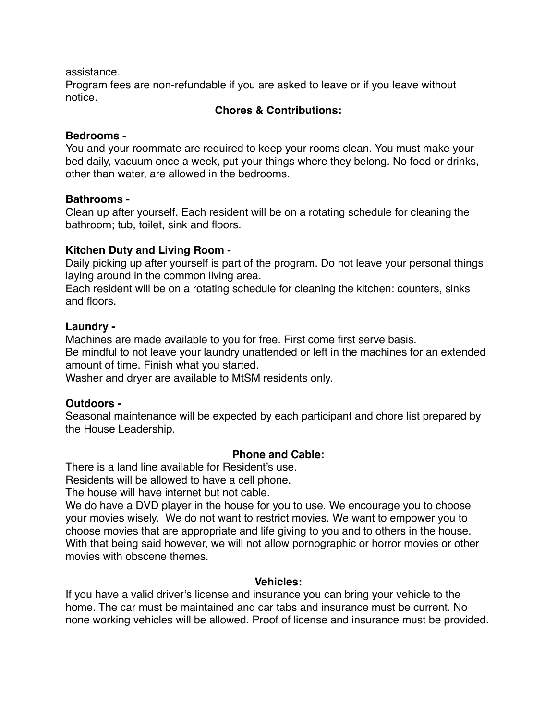assistance.

Program fees are non-refundable if you are asked to leave or if you leave without notice.

### **Chores & Contributions:**

#### **Bedrooms -**

You and your roommate are required to keep your rooms clean. You must make your bed daily, vacuum once a week, put your things where they belong. No food or drinks, other than water, are allowed in the bedrooms.

#### **Bathrooms -**

Clean up after yourself. Each resident will be on a rotating schedule for cleaning the bathroom; tub, toilet, sink and floors.

### **Kitchen Duty and Living Room -**

Daily picking up after yourself is part of the program. Do not leave your personal things laying around in the common living area.

Each resident will be on a rotating schedule for cleaning the kitchen: counters, sinks and floors.

## **Laundry -**

Machines are made available to you for free. First come first serve basis. Be mindful to not leave your laundry unattended or left in the machines for an extended amount of time. Finish what you started.

Washer and dryer are available to MtSM residents only.

### **Outdoors -**

Seasonal maintenance will be expected by each participant and chore list prepared by the House Leadership.

### **Phone and Cable:**

There is a land line available for Resident's use.

Residents will be allowed to have a cell phone.

The house will have internet but not cable.

We do have a DVD player in the house for you to use. We encourage you to choose your movies wisely. We do not want to restrict movies. We want to empower you to choose movies that are appropriate and life giving to you and to others in the house. With that being said however, we will not allow pornographic or horror movies or other movies with obscene themes.

### **Vehicles:**

If you have a valid driver's license and insurance you can bring your vehicle to the home. The car must be maintained and car tabs and insurance must be current. No none working vehicles will be allowed. Proof of license and insurance must be provided.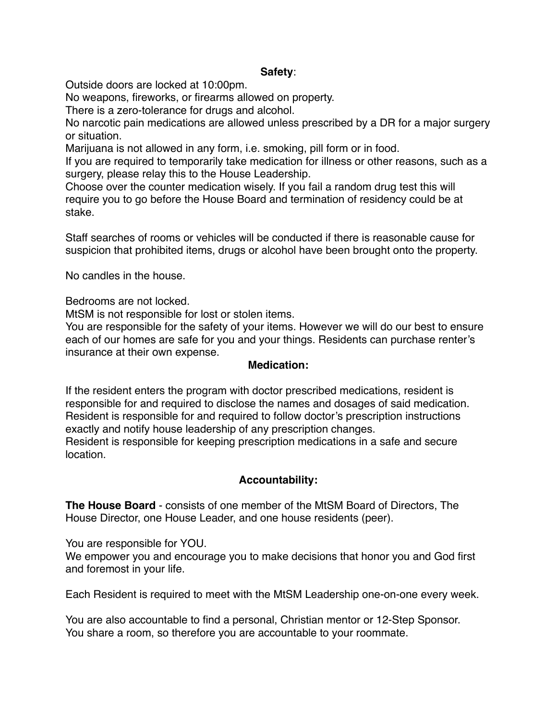### **Safety**:

Outside doors are locked at 10:00pm.

No weapons, fireworks, or firearms allowed on property.

There is a zero-tolerance for drugs and alcohol.

No narcotic pain medications are allowed unless prescribed by a DR for a major surgery or situation.

Marijuana is not allowed in any form, i.e. smoking, pill form or in food.

If you are required to temporarily take medication for illness or other reasons, such as a surgery, please relay this to the House Leadership.

Choose over the counter medication wisely. If you fail a random drug test this will require you to go before the House Board and termination of residency could be at stake.

Staff searches of rooms or vehicles will be conducted if there is reasonable cause for suspicion that prohibited items, drugs or alcohol have been brought onto the property.

No candles in the house.

Bedrooms are not locked.

MtSM is not responsible for lost or stolen items.

You are responsible for the safety of your items. However we will do our best to ensure each of our homes are safe for you and your things. Residents can purchase renter's insurance at their own expense.

#### **Medication:**

If the resident enters the program with doctor prescribed medications, resident is responsible for and required to disclose the names and dosages of said medication. Resident is responsible for and required to follow doctor's prescription instructions exactly and notify house leadership of any prescription changes. Resident is responsible for keeping prescription medications in a safe and secure location.

### **Accountability:**

**The House Board** - consists of one member of the MtSM Board of Directors, The House Director, one House Leader, and one house residents (peer).

You are responsible for YOU.

We empower you and encourage you to make decisions that honor you and God first and foremost in your life.

Each Resident is required to meet with the MtSM Leadership one-on-one every week.

You are also accountable to find a personal, Christian mentor or 12-Step Sponsor. You share a room, so therefore you are accountable to your roommate.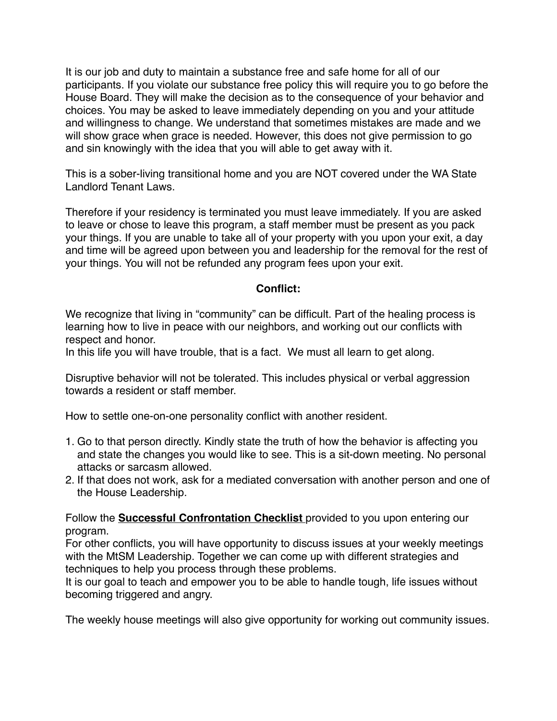It is our job and duty to maintain a substance free and safe home for all of our participants. If you violate our substance free policy this will require you to go before the House Board. They will make the decision as to the consequence of your behavior and choices. You may be asked to leave immediately depending on you and your attitude and willingness to change. We understand that sometimes mistakes are made and we will show grace when grace is needed. However, this does not give permission to go and sin knowingly with the idea that you will able to get away with it.

This is a sober-living transitional home and you are NOT covered under the WA State Landlord Tenant Laws.

Therefore if your residency is terminated you must leave immediately. If you are asked to leave or chose to leave this program, a staff member must be present as you pack your things. If you are unable to take all of your property with you upon your exit, a day and time will be agreed upon between you and leadership for the removal for the rest of your things. You will not be refunded any program fees upon your exit.

## **Conflict:**

We recognize that living in "community" can be difficult. Part of the healing process is learning how to live in peace with our neighbors, and working out our conflicts with respect and honor.

In this life you will have trouble, that is a fact. We must all learn to get along.

Disruptive behavior will not be tolerated. This includes physical or verbal aggression towards a resident or staff member.

How to settle one-on-one personality conflict with another resident.

- 1. Go to that person directly. Kindly state the truth of how the behavior is affecting you and state the changes you would like to see. This is a sit-down meeting. No personal attacks or sarcasm allowed.
- 2. If that does not work, ask for a mediated conversation with another person and one of the House Leadership.

Follow the **Successful Confrontation Checklist** provided to you upon entering our program.

For other conflicts, you will have opportunity to discuss issues at your weekly meetings with the MtSM Leadership. Together we can come up with different strategies and techniques to help you process through these problems.

It is our goal to teach and empower you to be able to handle tough, life issues without becoming triggered and angry.

The weekly house meetings will also give opportunity for working out community issues.